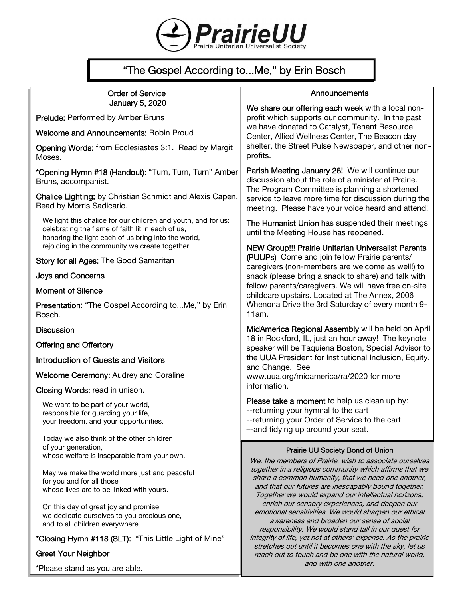

# "The Gospel According to...Me," by Erin Bosch

## Order of Service January 5, 2020

Prelude: Performed by Amber Bruns

Welcome and Announcements: Robin Proud

Opening Words: from Ecclesiastes 3:1. Read by Margit Moses.

\*Opening Hymn #18 (Handout): "Turn, Turn, Turn" Amber Bruns, accompanist.

Chalice Lighting: by Christian Schmidt and Alexis Capen. Read by Morris Sadicario.

We light this chalice for our children and youth, and for us: celebrating the flame of faith lit in each of us, honoring the light each of us bring into the world, rejoicing in the community we create together.

Story for all Ages: The Good Samaritan

Joys and Concerns

#### Moment of Silence

Presentation: "The Gospel According to...Me," by Erin Bosch.

#### **Discussion**

Offering and Offertory

Introduction of Guests and Visitors

Welcome Ceremony: Audrey and Coraline

Closing Words: read in unison.

We want to be part of your world, responsible for guarding your life, your freedom, and your opportunities.

Today we also think of the other children of your generation, whose welfare is inseparable from your own.

May we make the world more just and peaceful for you and for all those whose lives are to be linked with yours.

On this day of great joy and promise, we dedicate ourselves to you precious one, and to all children everywhere.

\*Closing Hymn #118 (SLT): "This Little Light of Mine"

## Greet Your Neighbor

\*Please stand as you are able.

## **Announcements**

We share our offering each week with a local nonprofit which supports our community. In the past we have donated to Catalyst, Tenant Resource Center, Allied Wellness Center, The Beacon day shelter, the Street Pulse Newspaper, and other nonprofits.

Parish Meeting January 26! We will continue our discussion about the role of a minister at Prairie. The Program Committee is planning a shortened service to leave more time for discussion during the meeting. Please have your voice heard and attend!

The Humanist Union has suspended their meetings until the Meeting House has reopened.

NEW Group!!! Prairie Unitarian Universalist Parents (PUUPs) Come and join fellow Prairie parents/ caregivers (non-members are welcome as well!) to snack (please bring a snack to share) and talk with fellow parents/caregivers. We will have free on-site childcare upstairs. Located at The Annex, 2006 Whenona Drive the 3rd Saturday of every month 9- 11am.

MidAmerica Regional Assembly will be held on April 18 in Rockford, IL, just an hour away! The keynote speaker will be Taquiena Boston, Special Advisor to the UUA President for Institutional Inclusion, Equity, and Change. See www.uua.org/midamerica/ra/2020 for more

information.

Please take a moment to help us clean up by: --returning your hymnal to the cart --returning your Order of Service to the cart –-and tidying up around your seat.

#### Prairie UU Society Bond of Union

We, the members of Prairie, wish to associate ourselves together in a religious community which affirms that we share a common humanity, that we need one another, and that our futures are inescapably bound together. Together we would expand our intellectual horizons, enrich our sensory experiences, and deepen our emotional sensitivities. We would sharpen our ethical awareness and broaden our sense of social responsibility. We would stand tall in our quest for integrity of life, yet not at others' expense. As the prairie stretches out until it becomes one with the sky, let us reach out to touch and be one with the natural world, and with one another.